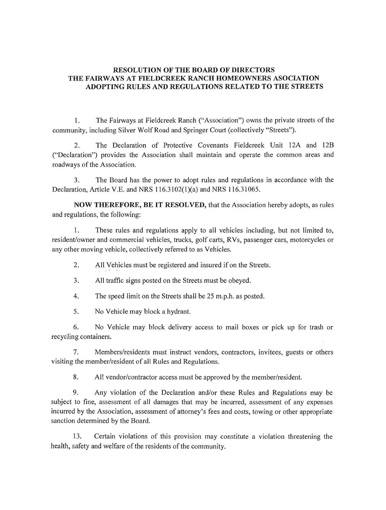## **RESOLUTION OF THE BOARD OF DIRECTORS THE FAIRWAYS AT** FIELDCREEK **RANCH HOMEOWNERS ASOCIATION ADOPTING RULES AND REGULATIONS RELATED TO THE STREETS**

1. The Fairways at Fieldcreek Ranch ("Association") owns the private streets of the community, including Silver Wolf Road and Springer Court (collectively "Streets").

2. The Declaration of Protective Covenants Fieldcreek Unit 12A and 12B ("Declaration") provides the Association shall maintain and operate the common areas and roadways of the Association.

3. The Board has the power to adopt rules and regulations in accordance with the Declaration, Article V.E. and NRS 116.3102(1)(a) and NRS 116.31065.

**NOW THEREFORE, BE IT RESOLVED,** that the Association hereby adopts, as rules and regulations, the following:

1. These rules and regulations apply to all vehicles including, but not limited to, resident/owner and commercial vehicles, trucks, golf carts, RVs, passenger cars, motorcycles or any other moving vehicle, collectively referred to as Vehicles.

2. All Vehicles must be registered and insured if on the Streets.

3. All traffic signs posted on the Streets must be obeyed.

4. The speed limit on the Streets shall be 25 m.p.h. as posted.

5. No Vehicle may block a hydrant.

6. No Vehicle may block delivery access to mail boxes or pick up for trash or recycling containers.

7. Members/residents must instruct vendors, contractors, invitees, guests or others visiting the member/resident of all Rules and Regulations.

8. All vendor/contractor access must be approved by the member/resident.

9. Any violation of the Declaration and/or these Rules and Regulations may be subject to fine, assessment of all damages that may be incurred, assessment of any expenses incurred by the Association, assessment of attorney's fees and costs, towing or other appropriate sanction determined by the Board.

13. Certain violations of this provision may constitute a violation threatening the health, safety and welfare of the residents of the community.